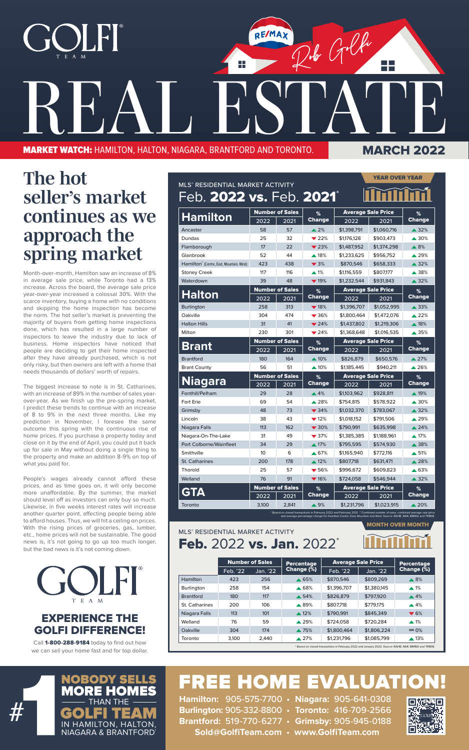

## FREE HOME EVALUATION!

**Hamilton:** 905-575-7700 • **Niagara:** 905-641-0308 **Burlington:** 905-332-8800 • **Toronto:** 416-709-2566 **Brantford:** 519-770-6277 • **Grimsby:** 905-945-0188 **Sold@GolfiTeam.com** • **www.GolfiTeam.com**





## *The hot seller's market continues as we approach the spring market*

Month-over-month, Hamilton saw an increase of 8% in average sale price, while Toronto had a 13% increase. Across the board, the average sale price year-over-year increased a colossal 30%. With the scarce inventory, buying a home with no conditions and skipping the home inspection has become the norm. The hot seller's market is preventing the majority of buyers from getting home inspections done, which has resulted in a large number of inspectors to leave the industry due to lack of business. Home inspectors have noticed that people are deciding to get their home inspected after they have already purchased, which is not only risky, but then owners are left with a home that needs thousands of dollars' worth of repairs.

Call 1-800-288-9184 today to find out how we can sell your home fast and for top dollar.

The biggest increase to note is in St. Catharines, with an increase of 89% in the number of sales yearover-year. As we finish up the pre-spring market, I predict these trends to continue with an increase of 8 to 9% in the next three months. Like my prediction in November, I foresee the same outcome this spring with the continuous rise of home prices. If you purchase a property today and close on it by the end of April, you could put it back up for sale in May without doing a single thing to the property and make an addition 8-9% on top of what you paid for.

People's wages already cannot afford these prices, and as time goes on, it will only become more unaffordable. By the summer, the market should level off as investors can only buy so much. Likewise, in five weeks interest rates will increase another quarter point, affecting people being able to afford houses. Thus, we will hit a ceiling on prices. With the rising prices of groceries, gas, lumber, etc., home prices will not be sustainable. The good news is, it's not going to go up too much longer, but the bad news is it's not coming down.



### EXPERIENCE THE GOLFI DIFFERENCE!

#### MLS® RESIDENTIAL MARKET ACTIVITY Feb. 2022 vs. Jan. 2022<sup>\*</sup>

|                                                              | <b>YEAR OVER YEAR</b>                                                           |                        |                          |                                                |                                                                                                                                                                                                                                                |                    |
|--------------------------------------------------------------|---------------------------------------------------------------------------------|------------------------|--------------------------|------------------------------------------------|------------------------------------------------------------------------------------------------------------------------------------------------------------------------------------------------------------------------------------------------|--------------------|
| MLS® RESIDENTIAL MARKET ACTIVITY<br>Feb. 2022 vs. Feb. 2021* |                                                                                 |                        |                          |                                                |                                                                                                                                                                                                                                                |                    |
|                                                              | <b>Number of Sales</b>                                                          |                        |                          | <b>Average Sale Price</b>                      |                                                                                                                                                                                                                                                |                    |
| <b>Hamilton</b>                                              | 2022                                                                            | 2021                   | %<br><b>Change</b>       | 2022                                           | 2021                                                                                                                                                                                                                                           | %<br><b>Change</b> |
| Ancaster                                                     | 58                                                                              | 57                     | $\triangle 2\%$          | \$1,398,791                                    | \$1,060,716                                                                                                                                                                                                                                    | $\triangle$ 32%    |
| Dundas                                                       | 25                                                                              | 32                     | $\blacktriangledown$ 22% | \$1,176,128                                    | \$903,473                                                                                                                                                                                                                                      | $\triangle$ 30%    |
| Flamborough                                                  | 17                                                                              | 22                     | $\blacktriangledown$ 23% | \$1,487,952                                    | \$1,374,298                                                                                                                                                                                                                                    | $\triangle 8%$     |
| Glanbrook                                                    | 52                                                                              | 44                     | $\blacktriangle$ 18%     | \$1,233,625                                    | \$956,752                                                                                                                                                                                                                                      | $\triangle 29%$    |
| Hamilton" (Centre, East, Mountain, West)                     | 423                                                                             | 438                    | $\blacktriangledown$ 3%  | \$870,546                                      | \$658,333                                                                                                                                                                                                                                      | $\triangle$ 32%    |
|                                                              | 117                                                                             | 116                    | $\triangle$ 1%           | \$1,116,559                                    | \$807,177                                                                                                                                                                                                                                      | ▲ 38%              |
| <b>Stoney Creek</b><br>Waterdown                             | 39                                                                              | 48                     | $\blacktriangledown$ 19% |                                                | \$931,843                                                                                                                                                                                                                                      | $\triangle$ 32%    |
|                                                              |                                                                                 |                        |                          | \$1,232,544                                    |                                                                                                                                                                                                                                                |                    |
| <b>Halton</b>                                                | <b>Number of Sales</b><br>%<br>2022                                             |                        | <b>Change</b>            |                                                | <b>Average Sale Price</b>                                                                                                                                                                                                                      | %<br><b>Change</b> |
|                                                              |                                                                                 | 2021                   |                          | 2022                                           | 2021                                                                                                                                                                                                                                           |                    |
| <b>Burlington</b>                                            | 258                                                                             | 313                    | $\blacktriangledown$ 18% | \$1,396,707                                    | \$1,052,995                                                                                                                                                                                                                                    | $\triangle$ 33%    |
| Oakville                                                     | 304                                                                             | 474                    | $\blacktriangledown$ 36% | \$1,800,464                                    | \$1,472,076                                                                                                                                                                                                                                    | $\triangle 22%$    |
| <b>Halton Hills</b>                                          | 31                                                                              | 41                     | $\blacktriangledown$ 24% | \$1,437,802                                    | \$1,219,306                                                                                                                                                                                                                                    | $\triangle$ 18%    |
| Milton                                                       | 230<br>301<br>$\blacktriangledown$ 24%<br>\$1,368,648<br><b>Number of Sales</b> |                        | \$1,016,535              | $\triangle$ 35%                                |                                                                                                                                                                                                                                                |                    |
| Brant                                                        |                                                                                 |                        | %<br><b>Change</b>       | <b>Average Sale Price</b><br>$\overline{2022}$ |                                                                                                                                                                                                                                                | %<br>Change        |
| <b>Brantford</b>                                             | 2022                                                                            | 2021                   | $\triangle$ 10%          |                                                | 2021                                                                                                                                                                                                                                           |                    |
|                                                              | 180                                                                             | 164                    |                          | \$826,879                                      | \$650,576                                                                                                                                                                                                                                      | $\triangle 27%$    |
| <b>Brant County</b>                                          | 56                                                                              | 51                     | $\blacktriangle$ 10%     | \$1,185,445                                    | \$940,211                                                                                                                                                                                                                                      | $\triangle$ 26%    |
| <b>Niagara</b>                                               |                                                                                 | <b>Number of Sales</b> | %<br><b>Change</b>       | <b>Average Sale Price</b>                      |                                                                                                                                                                                                                                                | %<br><b>Change</b> |
|                                                              | 2022                                                                            | 2021                   |                          | 2022                                           | 2021                                                                                                                                                                                                                                           |                    |
| Fonthill/Pelham                                              | 29                                                                              | 28                     | $\triangle$ 4%           | \$1,103,962                                    | \$928,811                                                                                                                                                                                                                                      | $\triangle$ 19%    |
| Fort Erie                                                    | 69                                                                              | 54                     | $\blacktriangle$ 28%     | \$754,815                                      | \$578,922                                                                                                                                                                                                                                      | $\triangle$ 30%    |
| Grimsby                                                      | 48                                                                              | 73                     | $\blacktriangledown$ 34% | \$1,032,370                                    | \$783,067                                                                                                                                                                                                                                      | $\triangle$ 32%    |
| Lincoln                                                      | 38                                                                              | 43                     | $\blacktriangledown$ 12% | \$1,018,152                                    | \$791,506                                                                                                                                                                                                                                      | $\triangle$ 29%    |
| Niagara Falls                                                | 113                                                                             | 162                    | $\blacktriangledown$ 30% | \$790,991                                      | \$635.998                                                                                                                                                                                                                                      | $\triangle$ 24%    |
| Niagara-On-The-Lake                                          | 31                                                                              | 49                     | $\blacktriangledown$ 37% | \$1,385,385                                    | \$1,188,961                                                                                                                                                                                                                                    | $\triangle$ 17%    |
| Port Colborne/Wainfleet                                      | 34                                                                              | 29                     | $\triangle$ 17%          | \$795,595                                      | \$574,930                                                                                                                                                                                                                                      | $\triangle$ 38%    |
| Smithville                                                   | 10                                                                              | 6                      | $\triangle 67%$          | \$1,165,940                                    | \$772,116                                                                                                                                                                                                                                      | $\triangle$ 51%    |
| <b>St. Catharines</b>                                        | 200                                                                             | 178                    | $\triangle 12\%$         | \$807,718                                      | \$631,471                                                                                                                                                                                                                                      | $\triangle$ 28%    |
| Thorold                                                      | 25                                                                              | 57                     | $\blacktriangledown$ 56% | \$996,672                                      | \$609,823                                                                                                                                                                                                                                      | ▲ 63%              |
| Welland                                                      | 76                                                                              | 91                     | $\blacktriangledown$ 16% | \$724,058                                      | \$546,944                                                                                                                                                                                                                                      | $\triangle$ 32%    |
| GTA                                                          | <b>Number of Sales</b>                                                          |                        | %                        | <b>Average Sale Price</b>                      |                                                                                                                                                                                                                                                | $\%$               |
|                                                              | 2022                                                                            | 2021                   | <b>Change</b>            | 2022                                           | 2021                                                                                                                                                                                                                                           | <b>Change</b>      |
| Toronto                                                      | 3.100                                                                           | 2,841                  | $\triangle$ 9%           | \$1,231,796                                    | \$1,023,915                                                                                                                                                                                                                                    | $\triangle 20\%$   |
|                                                              |                                                                                 |                        |                          |                                                | * Based on closed transactions in February 2022 and February 2021. ** Combined number of sales, combined average sale price<br>and average percentage change for Hamilton Centre, East, Mountain and West. Source: RAHB, NAR, BRREA and TRREB. |                    |

|                   |          | <b>Number of Sales</b> | <b>Percentage</b> | <b>Average Sale Price</b> | <b>Percentage</b> |                         |
|-------------------|----------|------------------------|-------------------|---------------------------|-------------------|-------------------------|
|                   | Feb. '22 | Jan. '22               | Change (%)        | Feb. '22                  | Jan. '22          | Change (%)              |
| Hamilton          | 423      | 256                    | $\triangle$ 65%   | \$870,546                 | \$809.269         | $\triangle$ 8%          |
| <b>Burlington</b> | 258      | 154                    | $\triangle$ 68%   | \$1,396,707               | \$1.380.145       | $\triangle$ 1%          |
| <b>Brantford</b>  | 180      | 117                    | $\triangle$ 54%   | \$826,879                 | \$797.920         | $\triangle$ 4%          |
| St. Catharines    | 200      | 106                    | $\triangle$ 89%   | \$807.718                 | \$779.175         | $\triangle$ 4%          |
| Niagara Falls     | 113      | 101                    | $\triangle$ 12%   | \$790.991                 | \$845,349         | $\blacktriangledown$ 6% |
| Welland           | 76       | 59                     | $\triangle$ 29%   | \$724.058                 | \$720.284         | $\triangle$ 1%          |
| Oakville          | 304      | 174                    | ▲ 75%             | \$1,800,464               | \$1,806,224       | $= 0\%$                 |
| Toronto           | 3,100    | 2.440                  | $\triangle 27\%$  | \$1,231,796               | \$1,085,799       | $\triangle$ 13%         |

#### JI I T E A M

MONTH OVER MONTH